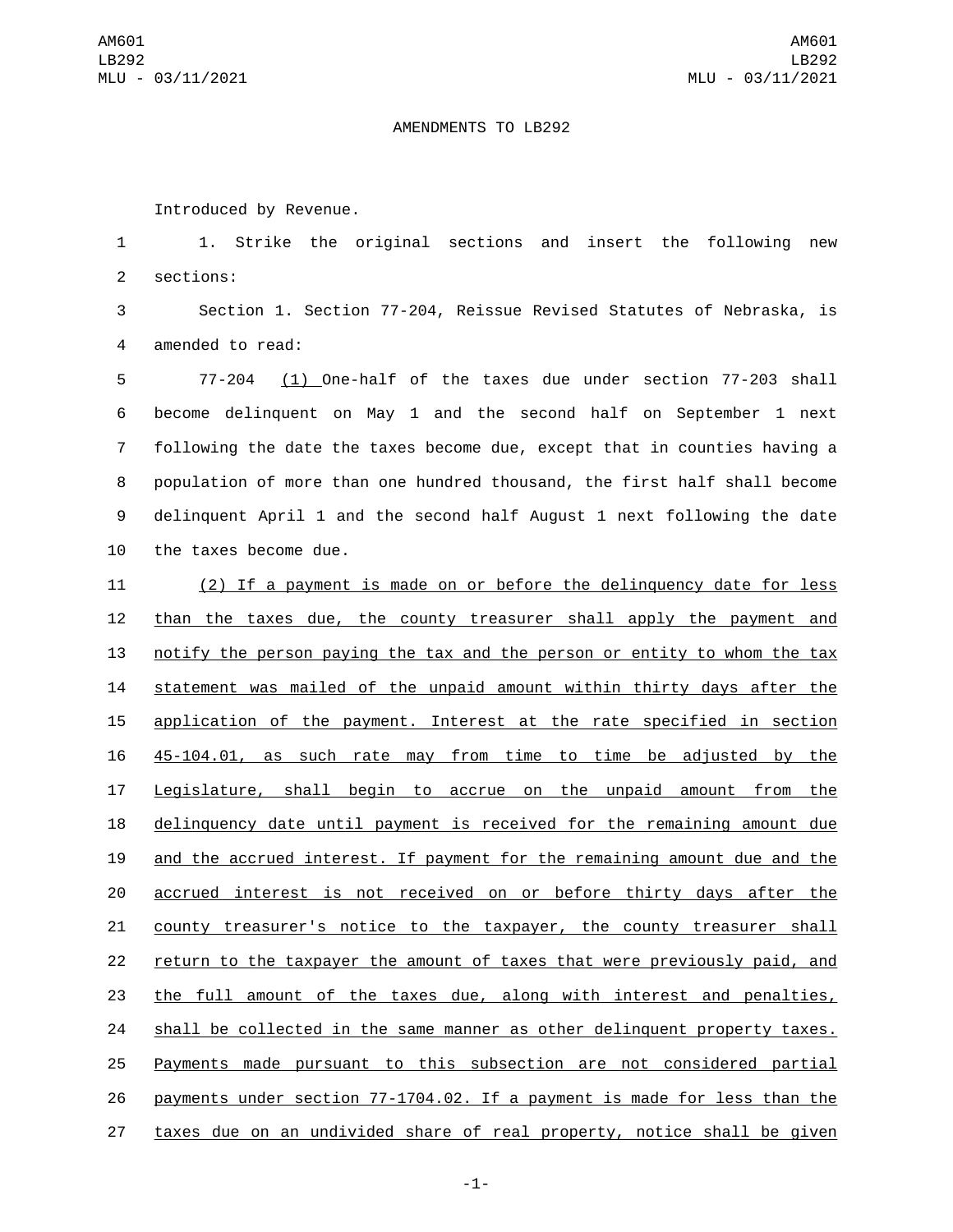## AMENDMENTS TO LB292

Introduced by Revenue.

 1. Strike the original sections and insert the following new 2 sections:

 Section 1. Section 77-204, Reissue Revised Statutes of Nebraska, is 4 amended to read:

 77-204 (1) One-half of the taxes due under section 77-203 shall become delinquent on May 1 and the second half on September 1 next following the date the taxes become due, except that in counties having a population of more than one hundred thousand, the first half shall become delinquent April 1 and the second half August 1 next following the date 10 the taxes become due.

 (2) If a payment is made on or before the delinquency date for less than the taxes due, the county treasurer shall apply the payment and notify the person paying the tax and the person or entity to whom the tax statement was mailed of the unpaid amount within thirty days after the application of the payment. Interest at the rate specified in section 45-104.01, as such rate may from time to time be adjusted by the Legislature, shall begin to accrue on the unpaid amount from the delinquency date until payment is received for the remaining amount due and the accrued interest. If payment for the remaining amount due and the accrued interest is not received on or before thirty days after the county treasurer's notice to the taxpayer, the county treasurer shall return to the taxpayer the amount of taxes that were previously paid, and the full amount of the taxes due, along with interest and penalties, shall be collected in the same manner as other delinquent property taxes. Payments made pursuant to this subsection are not considered partial payments under section 77-1704.02. If a payment is made for less than the taxes due on an undivided share of real property, notice shall be given

-1-